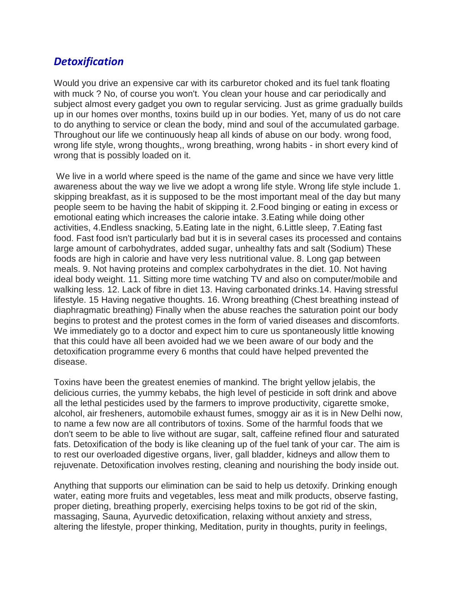## *Detoxification*

Would you drive an expensive car with its carburetor choked and its fuel tank floating with muck ? No, of course you won't. You clean your house and car periodically and subject almost every gadget you own to regular servicing. Just as grime gradually builds up in our homes over months, toxins build up in our bodies. Yet, many of us do not care to do anything to service or clean the body, mind and soul of the accumulated garbage. Throughout our life we continuously heap all kinds of abuse on our body. wrong food, wrong life style, wrong thoughts,, wrong breathing, wrong habits - in short every kind of wrong that is possibly loaded on it.

We live in a world where speed is the name of the game and since we have very little awareness about the way we live we adopt a wrong life style. Wrong life style include 1. skipping breakfast, as it is supposed to be the most important meal of the day but many people seem to be having the habit of skipping it. 2.Food binging or eating in excess or emotional eating which increases the calorie intake. 3.Eating while doing other activities, 4.Endless snacking, 5.Eating late in the night, 6.Little sleep, 7.Eating fast food. Fast food isn't particularly bad but it is in several cases its processed and contains large amount of carbohydrates, added sugar, unhealthy fats and salt (Sodium) These foods are high in calorie and have very less nutritional value. 8. Long gap between meals. 9. Not having proteins and complex carbohydrates in the diet. 10. Not having ideal body weight. 11. Sitting more time watching TV and also on computer/mobile and walking less. 12. Lack of fibre in diet 13. Having carbonated drinks.14. Having stressful lifestyle. 15 Having negative thoughts. 16. Wrong breathing (Chest breathing instead of diaphragmatic breathing) Finally when the abuse reaches the saturation point our body begins to protest and the protest comes in the form of varied diseases and discomforts. We immediately go to a doctor and expect him to cure us spontaneously little knowing that this could have all been avoided had we we been aware of our body and the detoxification programme every 6 months that could have helped prevented the disease.

Toxins have been the greatest enemies of mankind. The bright yellow jelabis, the delicious curries, the yummy kebabs, the high level of pesticide in soft drink and above all the lethal pesticides used by the farmers to improve productivity, cigarette smoke, alcohol, air fresheners, automobile exhaust fumes, smoggy air as it is in New Delhi now, to name a few now are all contributors of toxins. Some of the harmful foods that we don't seem to be able to live without are sugar, salt, caffeine refined flour and saturated fats. Detoxification of the body is like cleaning up of the fuel tank of your car. The aim is to rest our overloaded digestive organs, liver, gall bladder, kidneys and allow them to rejuvenate. Detoxification involves resting, cleaning and nourishing the body inside out.

Anything that supports our elimination can be said to help us detoxify. Drinking enough water, eating more fruits and vegetables, less meat and milk products, observe fasting, proper dieting, breathing properly, exercising helps toxins to be got rid of the skin, massaging, Sauna, Ayurvedic detoxification, relaxing without anxiety and stress, altering the lifestyle, proper thinking, Meditation, purity in thoughts, purity in feelings,